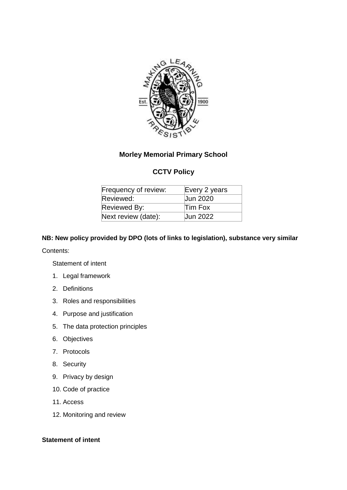

# **Morley Memorial Primary School**

# **CCTV Policy**

| Frequency of review: | Every 2 years   |
|----------------------|-----------------|
| Reviewed:            | <b>Jun 2020</b> |
| Reviewed By:         | Tim Fox         |
| Next review (date):  | <b>Jun 2022</b> |

## **NB: New policy provided by DPO (lots of links to legislation), substance very similar**

### Contents:

Statement of intent

- 1. Legal framework
- 2. Definitions
- 3. Roles and responsibilities
- 4. Purpose and justification
- 5. The data protection principles
- 6. Objectives
- 7. Protocols
- 8. Security
- 9. Privacy by design
- 10. Code of practice
- 11. Access
- 12. Monitoring and review

## **Statement of intent**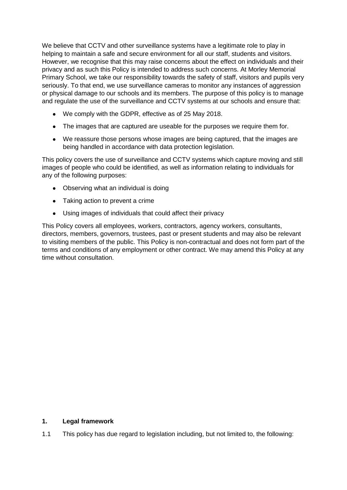We believe that CCTV and other surveillance systems have a legitimate role to play in helping to maintain a safe and secure environment for all our staff, students and visitors. However, we recognise that this may raise concerns about the effect on individuals and their privacy and as such this Policy is intended to address such concerns. At Morley Memorial Primary School, we take our responsibility towards the safety of staff, visitors and pupils very seriously. To that end, we use surveillance cameras to monitor any instances of aggression or physical damage to our schools and its members. The purpose of this policy is to manage and regulate the use of the surveillance and CCTV systems at our schools and ensure that:

- We comply with the GDPR, effective as of 25 May 2018.
- The images that are captured are useable for the purposes we require them for.
- We reassure those persons whose images are being captured, that the images are being handled in accordance with data protection legislation.

This policy covers the use of surveillance and CCTV systems which capture moving and still images of people who could be identified, as well as information relating to individuals for any of the following purposes:

- Observing what an individual is doing
- Taking action to prevent a crime
- Using images of individuals that could affect their privacy

This Policy covers all employees, workers, contractors, agency workers, consultants, directors, members, governors, trustees, past or present students and may also be relevant to visiting members of the public. This Policy is non-contractual and does not form part of the terms and conditions of any employment or other contract. We may amend this Policy at any time without consultation.

## **1. Legal framework**

1.1 This policy has due regard to legislation including, but not limited to, the following: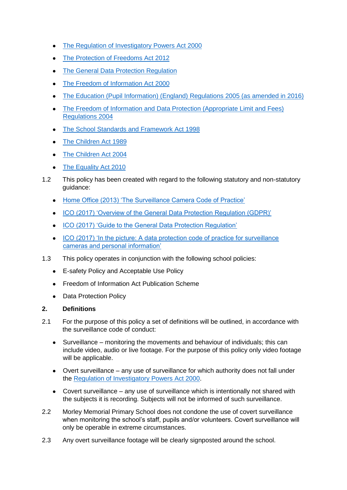- [The Regulation of Investigatory Powers Act 2000](https://www.legislation.gov.uk/ukpga/2000/23/contents)
- [The Protection of Freedoms Act 2012](http://www.legislation.gov.uk/ukpga/2012/9/contents/enacted)
- [The General Data Protection Regulation](https://www.eugdpr.org/)
- [The Freedom of Information Act 2000](https://www.legislation.gov.uk/ukpga/2000/36/contents)
- [The Education \(Pupil Information\) \(England\) Regulations 2005 \(as amended in 2016\)](http://www.legislation.gov.uk/uksi/2016/808/made)
- The Freedom of Information and Data Protection (Appropriate Limit and Fees) [Regulations 2004](http://www.legislation.gov.uk/uksi/2004/3244/contents/made)
- [The School Standards and Framework Act 1998](http://www.legislation.gov.uk/ukpga/1998/31/contents)
- [The Children Act 1989](https://www.legislation.gov.uk/ukpga/1989/41/contents)
- [The Children Act 2004](https://www.legislation.gov.uk/ukpga/2004/31/contents)
- [The Equality Act 2010](https://www.legislation.gov.uk/ukpga/2010/15/contents)
- 1.2 This policy has been created with regard to the following statutory and non-statutory guidance:
	- [Home Office \(2013\) 'The Surveillance Camera Code of Practice'](https://www.gov.uk/government/publications/surveillance-camera-code-of-practice)
	- [ICO \(2017\) 'Overview of the General Data Protection Regulation \(GDPR\)'](https://ico.org.uk/for-organisations/guide-to-the-general-data-protection-regulation-gdpr/)
	- [ICO \(2017\) 'Guide to the General Data Protection Regulation'](https://ico.org.uk/media/for-organisations/guide-to-the-general-data-protection-regulation-gdpr-1-0.pdf)
	- ICO (2017) 'In the picture: A data protection code of practice for surveillance [cameras and personal information'](https://ico.org.uk/media/1542/cctv-code-of-practice.pdf)
- 1.3 This policy operates in conjunction with the following school policies:
	- E-safety Policy and Acceptable Use Policy
	- Freedom of Information Act Publication Scheme
	- Data Protection Policy

## **2. Definitions**

- 2.1 For the purpose of this policy a set of definitions will be outlined, in accordance with the surveillance code of conduct:
	- Surveillance monitoring the movements and behaviour of individuals; this can include video, audio or live footage. For the purpose of this policy only video footage will be applicable.
	- Overt surveillance any use of surveillance for which authority does not fall under the [Regulation of Investigatory Powers Act 2000.](https://www.legislation.gov.uk/ukpga/2000/23/contents)
	- Covert surveillance any use of surveillance which is intentionally not shared with the subjects it is recording. Subjects will not be informed of such surveillance.
- 2.2 Morley Memorial Primary School does not condone the use of covert surveillance when monitoring the school's staff, pupils and/or volunteers. Covert surveillance will only be operable in extreme circumstances.
- 2.3 Any overt surveillance footage will be clearly signposted around the school.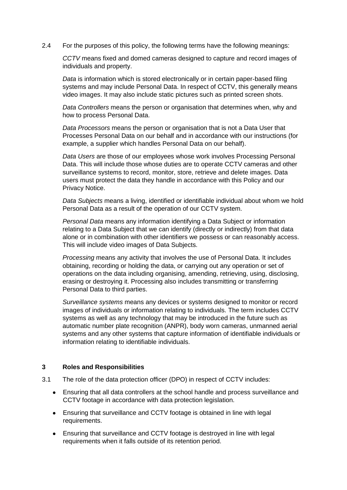2.4 For the purposes of this policy, the following terms have the following meanings:

*CCTV* means fixed and domed cameras designed to capture and record images of individuals and property.

*Data* is information which is stored electronically or in certain paper-based filing systems and may include Personal Data. In respect of CCTV, this generally means video images. It may also include static pictures such as printed screen shots.

*Data Controllers* means the person or organisation that determines when, why and how to process Personal Data.

*Data Processors* means the person or organisation that is not a Data User that Processes Personal Data on our behalf and in accordance with our instructions (for example, a supplier which handles Personal Data on our behalf).

*Data Users* are those of our employees whose work involves Processing Personal Data. This will include those whose duties are to operate CCTV cameras and other surveillance systems to record, monitor, store, retrieve and delete images. Data users must protect the data they handle in accordance with this Policy and our Privacy Notice.

*Data Subjects* means a living, identified or identifiable individual about whom we hold Personal Data as a result of the operation of our CCTV system.

*Personal Data* means any information identifying a Data Subject or information relating to a Data Subject that we can identify (directly or indirectly) from that data alone or in combination with other identifiers we possess or can reasonably access. This will include video images of Data Subjects.

*Processing* means any activity that involves the use of Personal Data. It includes obtaining, recording or holding the data, or carrying out any operation or set of operations on the data including organising, amending, retrieving, using, disclosing, erasing or destroying it. Processing also includes transmitting or transferring Personal Data to third parties.

*Surveillance systems* means any devices or systems designed to monitor or record images of individuals or information relating to individuals. The term includes CCTV systems as well as any technology that may be introduced in the future such as automatic number plate recognition (ANPR), body worn cameras, unmanned aerial systems and any other systems that capture information of identifiable individuals or information relating to identifiable individuals.

### **3 Roles and Responsibilities**

- 3.1 The role of the data protection officer (DPO) in respect of CCTV includes:
	- Ensuring that all data controllers at the school handle and process surveillance and CCTV footage in accordance with data protection legislation.
	- Ensuring that surveillance and CCTV footage is obtained in line with legal requirements.
	- Ensuring that surveillance and CCTV footage is destroyed in line with legal requirements when it falls outside of its retention period.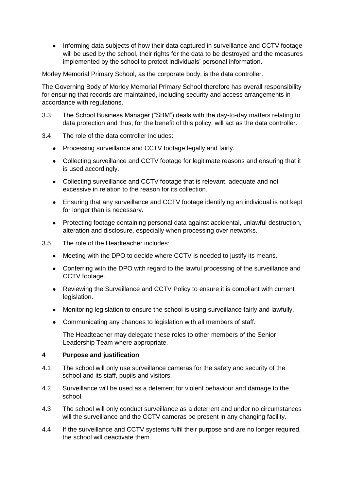• Informing data subjects of how their data captured in surveillance and CCTV footage will be used by the school, their rights for the data to be destroyed and the measures implemented by the school to protect individuals' personal information.

Morley Memorial Primary School, as the corporate body, is the data controller.

The Governing Body of Morley Memorial Primary School therefore has overall responsibility for ensuring that records are maintained, including security and access arrangements in accordance with regulations.

- 3.3 The School Business Manager ("SBM") deals with the day-to-day matters relating to data protection and thus, for the benefit of this policy, will act as the data controller.
- 3.4 The role of the data controller includes:
	- Processing surveillance and CCTV footage legally and fairly.
	- Collecting surveillance and CCTV footage for legitimate reasons and ensuring that it is used accordingly.
	- Collecting surveillance and CCTV footage that is relevant, adequate and not excessive in relation to the reason for its collection.
	- Ensuring that any surveillance and CCTV footage identifying an individual is not kept for longer than is necessary.
	- Protecting footage containing personal data against accidental, unlawful destruction, alteration and disclosure, especially when processing over networks.
- 3.5 The role of the Headteacher includes:
	- Meeting with the DPO to decide where CCTV is needed to justify its means.
	- Conferring with the DPO with regard to the lawful processing of the surveillance and CCTV footage.
	- Reviewing the Surveillance and CCTV Policy to ensure it is compliant with current legislation.
	- Monitoring legislation to ensure the school is using surveillance fairly and lawfully.
	- Communicating any changes to legislation with all members of staff.

The Headteacher may delegate these roles to other members of the Senior Leadership Team where appropriate.

## **4 Purpose and justification**

- 4.1 The school will only use surveillance cameras for the safety and security of the school and its staff, pupils and visitors.
- 4.2 Surveillance will be used as a deterrent for violent behaviour and damage to the school.
- 4.3 The school will only conduct surveillance as a deterrent and under no circumstances will the surveillance and the CCTV cameras be present in any changing facility.
- 4.4 If the surveillance and CCTV systems fulfil their purpose and are no longer required, the school will deactivate them.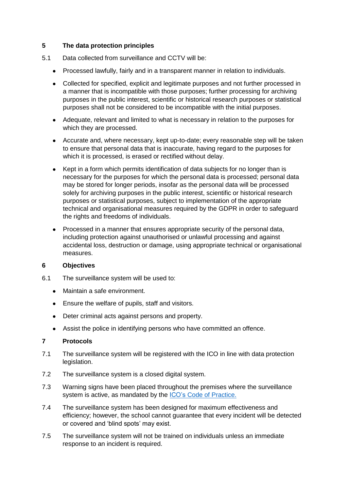## **5 The data protection principles**

- 5.1 Data collected from surveillance and CCTV will be:
	- Processed lawfully, fairly and in a transparent manner in relation to individuals.
	- Collected for specified, explicit and legitimate purposes and not further processed in a manner that is incompatible with those purposes; further processing for archiving purposes in the public interest, scientific or historical research purposes or statistical purposes shall not be considered to be incompatible with the initial purposes.
	- Adequate, relevant and limited to what is necessary in relation to the purposes for which they are processed.
	- Accurate and, where necessary, kept up-to-date; every reasonable step will be taken to ensure that personal data that is inaccurate, having regard to the purposes for which it is processed, is erased or rectified without delay.
	- Kept in a form which permits identification of data subjects for no longer than is necessary for the purposes for which the personal data is processed; personal data may be stored for longer periods, insofar as the personal data will be processed solely for archiving purposes in the public interest, scientific or historical research purposes or statistical purposes, subject to implementation of the appropriate technical and organisational measures required by the GDPR in order to safeguard the rights and freedoms of individuals.
	- Processed in a manner that ensures appropriate security of the personal data, including protection against unauthorised or unlawful processing and against accidental loss, destruction or damage, using appropriate technical or organisational measures.

### **6 Objectives**

- 6.1 The surveillance system will be used to:
	- Maintain a safe environment.
	- Ensure the welfare of pupils, staff and visitors.
	- Deter criminal acts against persons and property.
	- Assist the police in identifying persons who have committed an offence.

### **7 Protocols**

- 7.1 The surveillance system will be registered with the ICO in line with data protection legislation.
- 7.2 The surveillance system is a closed digital system.
- 7.3 Warning signs have been placed throughout the premises where the surveillance system is active, as mandated by the ICO's [Code of Practice.](https://ico.org.uk/media/for-organisations/documents/1068/data_sharing_code_of_practice.pdf)
- 7.4 The surveillance system has been designed for maximum effectiveness and efficiency; however, the school cannot guarantee that every incident will be detected or covered and 'blind spots' may exist.
- 7.5 The surveillance system will not be trained on individuals unless an immediate response to an incident is required.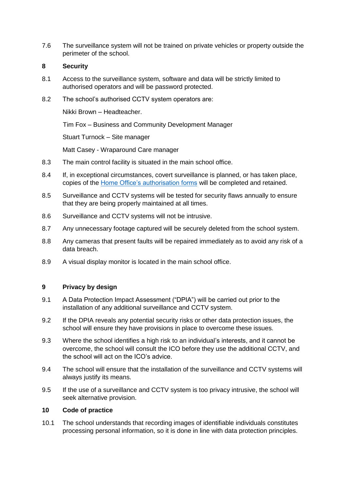7.6 The surveillance system will not be trained on private vehicles or property outside the perimeter of the school.

#### **8 Security**

- 8.1 Access to the surveillance system, software and data will be strictly limited to authorised operators and will be password protected.
- 8.2 The school's authorised CCTV system operators are:

Nikki Brown – Headteacher.

Tim Fox – Business and Community Development Manager

Stuart Turnock – Site manager

Matt Casey - Wraparound Care manager

- 8.3 The main control facility is situated in the main school office.
- 8.4 If, in exceptional circumstances, covert surveillance is planned, or has taken place, copies of the [Home Office's authorisation forms](https://www.gov.uk/government/publications/application-for-use-of-directed-surveillance) will be completed and retained.
- 8.5 Surveillance and CCTV systems will be tested for security flaws annually to ensure that they are being properly maintained at all times.
- 8.6 Surveillance and CCTV systems will not be intrusive.
- 8.7 Any unnecessary footage captured will be securely deleted from the school system.
- 8.8 Any cameras that present faults will be repaired immediately as to avoid any risk of a data breach.
- 8.9 A visual display monitor is located in the main school office.

## **9 Privacy by design**

- 9.1 A Data Protection Impact Assessment ("DPIA") will be carried out prior to the installation of any additional surveillance and CCTV system.
- 9.2 If the DPIA reveals any potential security risks or other data protection issues, the school will ensure they have provisions in place to overcome these issues.
- 9.3 Where the school identifies a high risk to an individual's interests, and it cannot be overcome, the school will consult the ICO before they use the additional CCTV, and the school will act on the ICO's advice.
- 9.4 The school will ensure that the installation of the surveillance and CCTV systems will always justify its means.
- 9.5 If the use of a surveillance and CCTV system is too privacy intrusive, the school will seek alternative provision.

#### **10 Code of practice**

10.1 The school understands that recording images of identifiable individuals constitutes processing personal information, so it is done in line with data protection principles.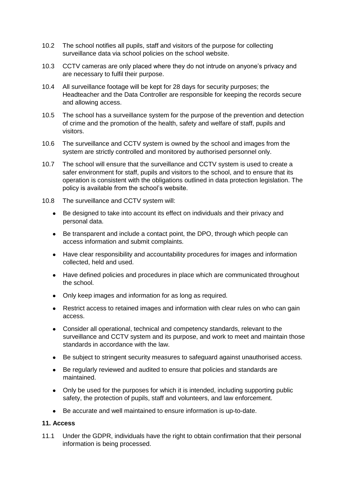- 10.2 The school notifies all pupils, staff and visitors of the purpose for collecting surveillance data via school policies on the school website.
- 10.3 CCTV cameras are only placed where they do not intrude on anyone's privacy and are necessary to fulfil their purpose.
- 10.4 All surveillance footage will be kept for 28 days for security purposes; the Headteacher and the Data Controller are responsible for keeping the records secure and allowing access.
- 10.5 The school has a surveillance system for the purpose of the prevention and detection of crime and the promotion of the health, safety and welfare of staff, pupils and visitors.
- 10.6 The surveillance and CCTV system is owned by the school and images from the system are strictly controlled and monitored by authorised personnel only.
- 10.7 The school will ensure that the surveillance and CCTV system is used to create a safer environment for staff, pupils and visitors to the school, and to ensure that its operation is consistent with the obligations outlined in data protection legislation. The policy is available from the school's website.
- 10.8 The surveillance and CCTV system will:
	- Be designed to take into account its effect on individuals and their privacy and personal data.
	- Be transparent and include a contact point, the DPO, through which people can access information and submit complaints.
	- Have clear responsibility and accountability procedures for images and information collected, held and used.
	- Have defined policies and procedures in place which are communicated throughout the school.
	- Only keep images and information for as long as required.
	- Restrict access to retained images and information with clear rules on who can gain access.
	- Consider all operational, technical and competency standards, relevant to the surveillance and CCTV system and its purpose, and work to meet and maintain those standards in accordance with the law.
	- Be subject to stringent security measures to safeguard against unauthorised access.
	- Be regularly reviewed and audited to ensure that policies and standards are maintained.
	- Only be used for the purposes for which it is intended, including supporting public safety, the protection of pupils, staff and volunteers, and law enforcement.
	- Be accurate and well maintained to ensure information is up-to-date.

## **11. Access**

11.1 Under the GDPR, individuals have the right to obtain confirmation that their personal information is being processed.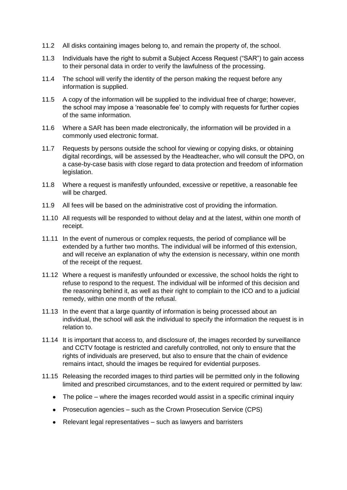- 11.2 All disks containing images belong to, and remain the property of, the school.
- 11.3 Individuals have the right to submit a Subject Access Request ("SAR") to gain access to their personal data in order to verify the lawfulness of the processing.
- 11.4 The school will verify the identity of the person making the request before any information is supplied.
- 11.5 A copy of the information will be supplied to the individual free of charge; however, the school may impose a 'reasonable fee' to comply with requests for further copies of the same information.
- 11.6 Where a SAR has been made electronically, the information will be provided in a commonly used electronic format.
- 11.7 Requests by persons outside the school for viewing or copying disks, or obtaining digital recordings, will be assessed by the Headteacher, who will consult the DPO, on a case-by-case basis with close regard to data protection and freedom of information legislation.
- 11.8 Where a request is manifestly unfounded, excessive or repetitive, a reasonable fee will be charged.
- 11.9 All fees will be based on the administrative cost of providing the information.
- 11.10 All requests will be responded to without delay and at the latest, within one month of receipt.
- 11.11 In the event of numerous or complex requests, the period of compliance will be extended by a further two months. The individual will be informed of this extension, and will receive an explanation of why the extension is necessary, within one month of the receipt of the request.
- 11.12 Where a request is manifestly unfounded or excessive, the school holds the right to refuse to respond to the request. The individual will be informed of this decision and the reasoning behind it, as well as their right to complain to the ICO and to a judicial remedy, within one month of the refusal.
- 11.13 In the event that a large quantity of information is being processed about an individual, the school will ask the individual to specify the information the request is in relation to.
- 11.14 It is important that access to, and disclosure of, the images recorded by surveillance and CCTV footage is restricted and carefully controlled, not only to ensure that the rights of individuals are preserved, but also to ensure that the chain of evidence remains intact, should the images be required for evidential purposes.
- 11.15 Releasing the recorded images to third parties will be permitted only in the following limited and prescribed circumstances, and to the extent required or permitted by law:
	- The police where the images recorded would assist in a specific criminal inquiry
	- Prosecution agencies such as the Crown Prosecution Service (CPS)
	- $\bullet$  Relevant legal representatives  $-$  such as lawyers and barristers